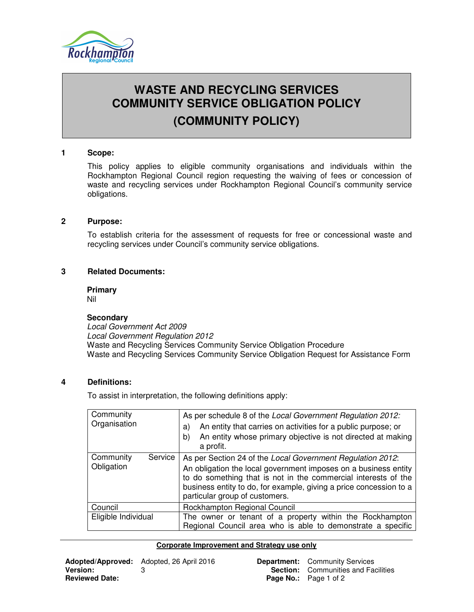

# **WASTE AND RECYCLING SERVICES COMMUNITY SERVICE OBLIGATION POLICY (COMMUNITY POLICY)**

# **1 Scope:**

This policy applies to eligible community organisations and individuals within the Rockhampton Regional Council region requesting the waiving of fees or concession of waste and recycling services under Rockhampton Regional Council's community service obligations.

### **2 Purpose:**

To establish criteria for the assessment of requests for free or concessional waste and recycling services under Council's community service obligations.

# **3 Related Documents:**

**Primary** 

Nil

#### **Secondary**

Local Government Act 2009 Local Government Regulation 2012 Waste and Recycling Services Community Service Obligation Procedure Waste and Recycling Services Community Service Obligation Request for Assistance Form

# **4 Definitions:**

To assist in interpretation, the following definitions apply:

| Community<br>Organisation          | As per schedule 8 of the Local Government Regulation 2012:<br>An entity that carries on activities for a public purpose; or<br>a)<br>An entity whose primary objective is not directed at making<br>b)<br>a profit.                                                                                     |
|------------------------------------|---------------------------------------------------------------------------------------------------------------------------------------------------------------------------------------------------------------------------------------------------------------------------------------------------------|
| Community<br>Service<br>Obligation | As per Section 24 of the Local Government Regulation 2012:<br>An obligation the local government imposes on a business entity<br>to do something that is not in the commercial interests of the<br>business entity to do, for example, giving a price concession to a<br>particular group of customers. |
| Council                            | Rockhampton Regional Council                                                                                                                                                                                                                                                                            |
| Eligible Individual                | The owner or tenant of a property within the Rockhampton<br>Regional Council area who is able to demonstrate a specific                                                                                                                                                                                 |

#### **Corporate Improvement and Strategy use only**

|                       | <b>Adopted/Approved:</b> Adopted, 26 April 2016 |
|-----------------------|-------------------------------------------------|
| <b>Version:</b>       |                                                 |
| <b>Reviewed Date:</b> |                                                 |

**Department:** Community Services **Section:** Communities and Facilities **Page No.:** Page 1 of 2